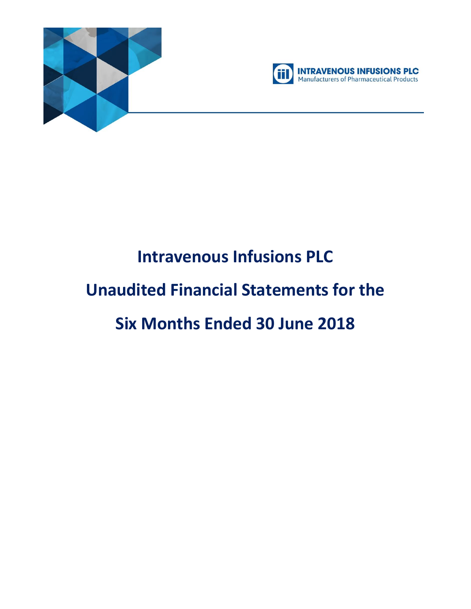



# **Intravenous Infusions PLC Unaudited Financial Statements for the Six Months Ended 30 June 2018**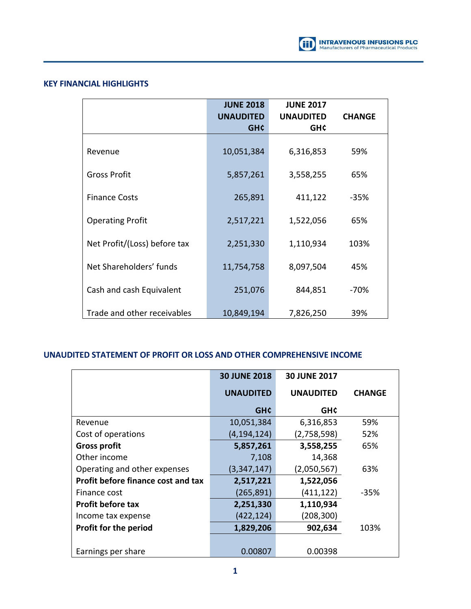

## **KEY FINANCIAL HIGHLIGHTS**

|                              | <b>JUNE 2018</b><br><b>UNAUDITED</b><br><b>GHC</b> | <b>JUNE 2017</b><br><b>UNAUDITED</b><br><b>GH¢</b> | <b>CHANGE</b> |
|------------------------------|----------------------------------------------------|----------------------------------------------------|---------------|
|                              |                                                    |                                                    |               |
| Revenue                      | 10,051,384                                         | 6,316,853                                          | 59%           |
|                              |                                                    |                                                    |               |
| <b>Gross Profit</b>          | 5,857,261                                          | 3,558,255                                          | 65%           |
| <b>Finance Costs</b>         | 265,891                                            | 411,122                                            | $-35%$        |
|                              |                                                    |                                                    |               |
| <b>Operating Profit</b>      | 2,517,221                                          | 1,522,056                                          | 65%           |
| Net Profit/(Loss) before tax | 2,251,330                                          | 1,110,934                                          | 103%          |
|                              |                                                    |                                                    |               |
| Net Shareholders' funds      | 11,754,758                                         | 8,097,504                                          | 45%           |
|                              |                                                    |                                                    |               |
| Cash and cash Equivalent     | 251,076                                            | 844,851                                            | -70%          |
| Trade and other receivables  | 10,849,194                                         | 7,826,250                                          | 39%           |

## **UNAUDITED STATEMENT OF PROFIT OR LOSS AND OTHER COMPREHENSIVE INCOME**

|                                           | <b>30 JUNE 2018</b> | <b>30 JUNE 2017</b> |               |
|-------------------------------------------|---------------------|---------------------|---------------|
|                                           | <b>UNAUDITED</b>    | <b>UNAUDITED</b>    | <b>CHANGE</b> |
|                                           | <b>GHC</b>          | <b>GH¢</b>          |               |
| Revenue                                   | 10,051,384          | 6,316,853           | 59%           |
| Cost of operations                        | (4, 194, 124)       | (2,758,598)         | 52%           |
| <b>Gross profit</b>                       | 5,857,261           | 3,558,255           | 65%           |
| Other income                              | 7,108               | 14,368              |               |
| Operating and other expenses              | (3,347,147)         | (2,050,567)         | 63%           |
| <b>Profit before finance cost and tax</b> | 2,517,221           | 1,522,056           |               |
| Finance cost                              | (265, 891)          | (411, 122)          | -35%          |
| <b>Profit before tax</b>                  | 2,251,330           | 1,110,934           |               |
| Income tax expense                        | (422, 124)          | (208,300)           |               |
| <b>Profit for the period</b>              | 1,829,206           | 902,634             | 103%          |
|                                           |                     |                     |               |
| Earnings per share                        | 0.00807             | 0.00398             |               |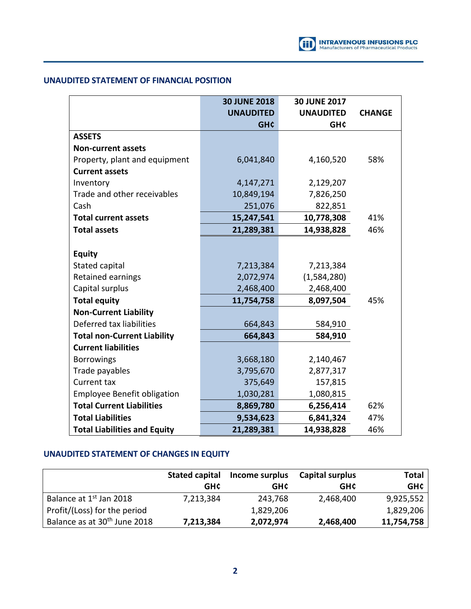## **UNAUDITED STATEMENT OF FINANCIAL POSITION**

|                                     | <b>30 JUNE 2018</b> | <b>30 JUNE 2017</b> |               |
|-------------------------------------|---------------------|---------------------|---------------|
|                                     | <b>UNAUDITED</b>    | <b>UNAUDITED</b>    | <b>CHANGE</b> |
|                                     | <b>GH¢</b>          | <b>GH¢</b>          |               |
| <b>ASSETS</b>                       |                     |                     |               |
| <b>Non-current assets</b>           |                     |                     |               |
| Property, plant and equipment       | 6,041,840           | 4,160,520           | 58%           |
| <b>Current assets</b>               |                     |                     |               |
| Inventory                           | 4,147,271           | 2,129,207           |               |
| Trade and other receivables         | 10,849,194          | 7,826,250           |               |
| Cash                                | 251,076             | 822,851             |               |
| <b>Total current assets</b>         | 15,247,541          | 10,778,308          | 41%           |
| <b>Total assets</b>                 | 21,289,381          | 14,938,828          | 46%           |
|                                     |                     |                     |               |
| <b>Equity</b>                       |                     |                     |               |
| Stated capital                      | 7,213,384           | 7,213,384           |               |
| Retained earnings                   | 2,072,974           | (1,584,280)         |               |
| Capital surplus                     | 2,468,400           | 2,468,400           |               |
| <b>Total equity</b>                 | 11,754,758          | 8,097,504           | 45%           |
| <b>Non-Current Liability</b>        |                     |                     |               |
| Deferred tax liabilities            | 664,843             | 584,910             |               |
| <b>Total non-Current Liability</b>  | 664,843             | 584,910             |               |
| <b>Current liabilities</b>          |                     |                     |               |
| <b>Borrowings</b>                   | 3,668,180           | 2,140,467           |               |
| Trade payables                      | 3,795,670           | 2,877,317           |               |
| Current tax                         | 375,649             | 157,815             |               |
| <b>Employee Benefit obligation</b>  | 1,030,281           | 1,080,815           |               |
| <b>Total Current Liabilities</b>    | 8,869,780           | 6,256,414           | 62%           |
| <b>Total Liabilities</b>            | 9,534,623           | 6,841,324           | 47%           |
| <b>Total Liabilities and Equity</b> | 21,289,381          | 14,938,828          | 46%           |

# **UNAUDITED STATEMENT OF CHANGES IN EQUITY**

|                                          | <b>Stated capital</b> | Income surplus | <b>Capital surplus</b> | Total      |
|------------------------------------------|-----------------------|----------------|------------------------|------------|
|                                          | <b>GHC</b>            | GH¢            | <b>GHC</b>             | <b>GH¢</b> |
| Balance at 1 <sup>st</sup> Jan 2018      | 7,213,384             | 243,768        | 2,468,400              | 9,925,552  |
| Profit/(Loss) for the period             |                       | 1,829,206      |                        | 1,829,206  |
| Balance as at 30 <sup>th</sup> June 2018 | 7,213,384             | 2,072,974      | 2,468,400              | 11,754,758 |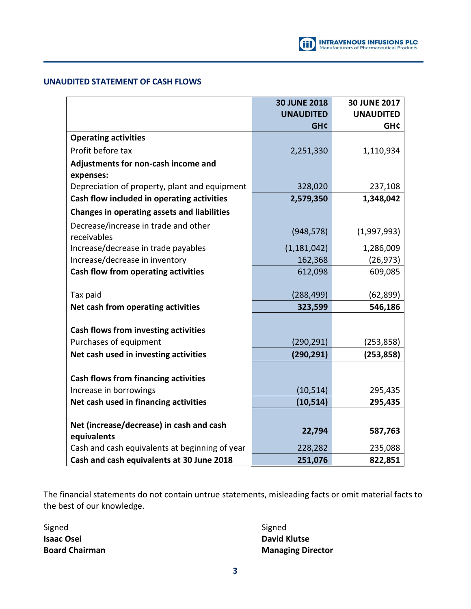# **UNAUDITED STATEMENT OF CASH FLOWS**

|                                                                                             | <b>30 JUNE 2018</b> | <b>30 JUNE 2017</b> |
|---------------------------------------------------------------------------------------------|---------------------|---------------------|
|                                                                                             | <b>UNAUDITED</b>    | <b>UNAUDITED</b>    |
|                                                                                             | <b>GH¢</b>          | <b>GH¢</b>          |
| <b>Operating activities</b>                                                                 |                     |                     |
| Profit before tax                                                                           | 2,251,330           | 1,110,934           |
| Adjustments for non-cash income and                                                         |                     |                     |
| expenses:                                                                                   |                     |                     |
| Depreciation of property, plant and equipment                                               | 328,020             | 237,108             |
| Cash flow included in operating activities                                                  | 2,579,350           | 1,348,042           |
| <b>Changes in operating assets and liabilities</b>                                          |                     |                     |
| Decrease/increase in trade and other                                                        |                     |                     |
| receivables                                                                                 | (948, 578)          | (1,997,993)         |
| Increase/decrease in trade payables                                                         | (1, 181, 042)       | 1,286,009           |
| Increase/decrease in inventory                                                              | 162,368             | (26, 973)           |
| Cash flow from operating activities                                                         | 612,098             | 609,085             |
|                                                                                             |                     |                     |
| Tax paid                                                                                    | (288, 499)          | (62, 899)           |
| Net cash from operating activities                                                          | 323,599             | 546,186             |
|                                                                                             |                     |                     |
| Cash flows from investing activities                                                        |                     |                     |
| Purchases of equipment                                                                      | (290, 291)          | (253, 858)          |
| Net cash used in investing activities                                                       | (290, 291)          | (253, 858)          |
|                                                                                             |                     |                     |
| <b>Cash flows from financing activities</b>                                                 |                     |                     |
| Increase in borrowings                                                                      | (10, 514)           | 295,435             |
| Net cash used in financing activities                                                       | (10, 514)           | 295,435             |
|                                                                                             |                     |                     |
| Net (increase/decrease) in cash and cash                                                    | 22,794              | 587,763             |
| equivalents                                                                                 |                     |                     |
|                                                                                             |                     |                     |
| Cash and cash equivalents at beginning of year<br>Cash and cash equivalents at 30 June 2018 | 228,282<br>251,076  | 235,088<br>822,851  |

The financial statements do not contain untrue statements, misleading facts or omit material facts to the best of our knowledge.

Signed Signed Signed Signed Signed Signed Signed Signed Signed Signed Signed Signed Signed Signed Signed Signed **Isaac Osei David Klutse** 

**Board Chairman Managing Director**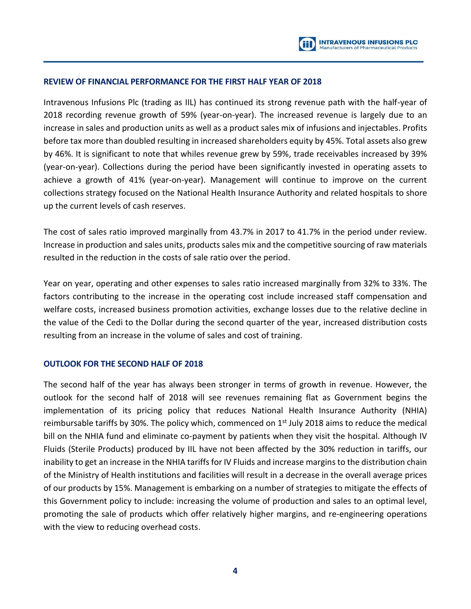## **REVIEW OF FINANCIAL PERFORMANCE FOR THE FIRST HALF YEAR OF 2018**

Intravenous Infusions Plc (trading as IIL) has continued its strong revenue path with the half-year of 2018 recording revenue growth of 59% (year-on-year). The increased revenue is largely due to an increase in sales and production units as well as a product sales mix of infusions and injectables. Profits before tax more than doubled resulting in increased shareholders equity by 45%. Total assets also grew by 46%. It is significant to note that whiles revenue grew by 59%, trade receivables increased by 39% (year-on-year). Collections during the period have been significantly invested in operating assets to achieve a growth of 41% (year-on-year). Management will continue to improve on the current collections strategy focused on the National Health Insurance Authority and related hospitals to shore up the current levels of cash reserves.

The cost of sales ratio improved marginally from 43.7% in 2017 to 41.7% in the period under review. Increase in production and sales units, products sales mix and the competitive sourcing of raw materials resulted in the reduction in the costs of sale ratio over the period.

Year on year, operating and other expenses to sales ratio increased marginally from 32% to 33%. The factors contributing to the increase in the operating cost include increased staff compensation and welfare costs, increased business promotion activities, exchange losses due to the relative decline in the value of the Cedi to the Dollar during the second quarter of the year, increased distribution costs resulting from an increase in the volume of sales and cost of training.

## **OUTLOOK FOR THE SECOND HALF OF 2018**

The second half of the year has always been stronger in terms of growth in revenue. However, the outlook for the second half of 2018 will see revenues remaining flat as Government begins the implementation of its pricing policy that reduces National Health Insurance Authority (NHIA) reimbursable tariffs by 30%. The policy which, commenced on  $1<sup>st</sup>$  July 2018 aims to reduce the medical bill on the NHIA fund and eliminate co-payment by patients when they visit the hospital. Although IV Fluids (Sterile Products) produced by IIL have not been affected by the 30% reduction in tariffs, our inability to get an increase in the NHIA tariffs for IV Fluids and increase margins to the distribution chain of the Ministry of Health institutions and facilities will result in a decrease in the overall average prices of our products by 15%. Management is embarking on a number of strategies to mitigate the effects of this Government policy to include: increasing the volume of production and sales to an optimal level, promoting the sale of products which offer relatively higher margins, and re-engineering operations with the view to reducing overhead costs.